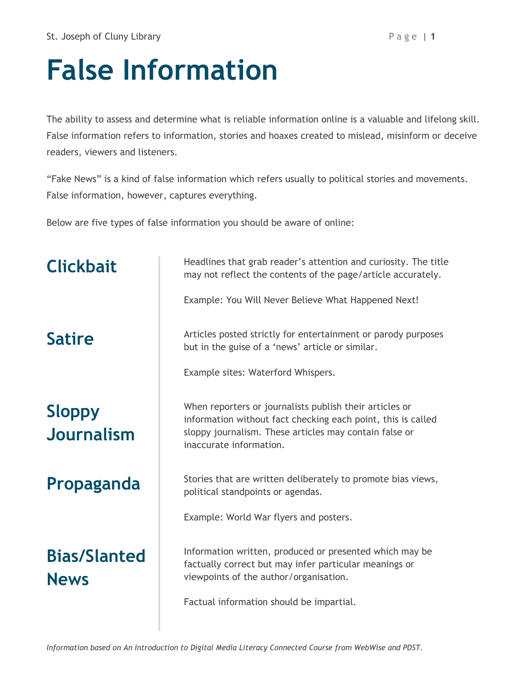## **False Information**

The ability to assess and determine what is reliable information online is a valuable and lifelong skill. False information refers to information, stories and hoaxes created to mislead, misinform or deceive readers, viewers and listeners.

"Fake News" is a kind of false information which refers usually to political stories and movements. False information, however, captures everything.

Below are five types of false information you should be aware of online:

| <b>Clickbait</b>                   | Headlines that grab reader's attention and curiosity. The title<br>may not reflect the contents of the page/article accurately.<br>Example: You Will Never Believe What Happened Next!                       |
|------------------------------------|--------------------------------------------------------------------------------------------------------------------------------------------------------------------------------------------------------------|
| <b>Satire</b>                      | Articles posted strictly for entertainment or parody purposes<br>but in the guise of a 'news' article or similar.<br>Example sites: Waterford Whispers.                                                      |
| <b>Sloppy</b><br><b>Journalism</b> | When reporters or journalists publish their articles or<br>information without fact checking each point, this is called<br>sloppy journalism. These articles may contain false or<br>inaccurate information. |
| Propaganda                         | Stories that are written deliberately to promote bias views,<br>political standpoints or agendas.                                                                                                            |
|                                    | Example: World War flyers and posters.                                                                                                                                                                       |
| <b>Bias/Slanted</b><br><b>News</b> | Information written, produced or presented which may be<br>factually correct but may infer particular meanings or<br>viewpoints of the author/organisation.<br>Factual information should be impartial.      |
|                                    |                                                                                                                                                                                                              |